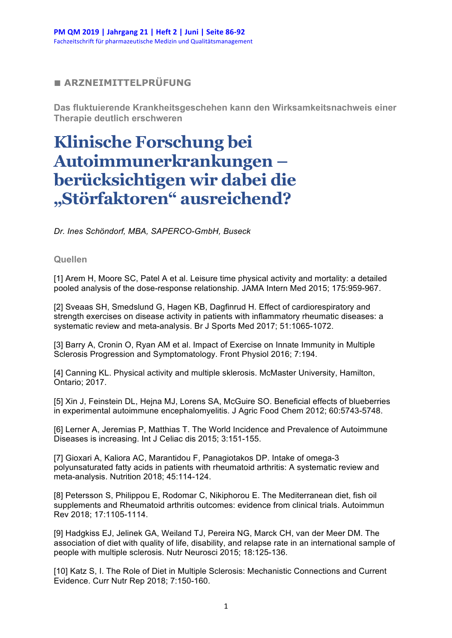## **■ ARZNEIMITTELPRÜFUNG**

**Das fluktuierende Krankheitsgeschehen kann den Wirksamkeitsnachweis einer Therapie deutlich erschweren**

## **Klinische Forschung bei Autoimmunerkrankungen – berücksichtigen wir dabei die "Störfaktoren" ausreichend?**

*Dr. Ines Schöndorf, MBA, SAPERCO-GmbH, Buseck*

## **Quellen**

[1] Arem H, Moore SC, Patel A et al. Leisure time physical activity and mortality: a detailed pooled analysis of the dose-response relationship. JAMA Intern Med 2015; 175:959-967.

[2] Sveaas SH, Smedslund G, Hagen KB, Dagfinrud H. Effect of cardiorespiratory and strength exercises on disease activity in patients with inflammatory rheumatic diseases: a systematic review and meta-analysis. Br J Sports Med 2017; 51:1065-1072.

[3] Barry A, Cronin O, Ryan AM et al. Impact of Exercise on Innate Immunity in Multiple Sclerosis Progression and Symptomatology. Front Physiol 2016; 7:194.

[4] Canning KL. Physical activity and multiple sklerosis. McMaster University, Hamilton, Ontario; 2017.

[5] Xin J, Feinstein DL, Hejna MJ, Lorens SA, McGuire SO. Beneficial effects of blueberries in experimental autoimmune encephalomyelitis. J Agric Food Chem 2012; 60:5743-5748.

[6] Lerner A, Jeremias P, Matthias T. The World Incidence and Prevalence of Autoimmune Diseases is increasing. Int J Celiac dis 2015; 3:151-155.

[7] Gioxari A, Kaliora AC, Marantidou F, Panagiotakos DP. Intake of omega-3 polyunsaturated fatty acids in patients with rheumatoid arthritis: A systematic review and meta-analysis. Nutrition 2018; 45:114-124.

[8] Petersson S, Philippou E, Rodomar C, Nikiphorou E. The Mediterranean diet, fish oil supplements and Rheumatoid arthritis outcomes: evidence from clinical trials. Autoimmun Rev 2018; 17:1105-1114.

[9] Hadgkiss EJ, Jelinek GA, Weiland TJ, Pereira NG, Marck CH, van der Meer DM. The association of diet with quality of life, disability, and relapse rate in an international sample of people with multiple sclerosis. Nutr Neurosci 2015; 18:125-136.

[10] Katz S, I. The Role of Diet in Multiple Sclerosis: Mechanistic Connections and Current Evidence. Curr Nutr Rep 2018; 7:150-160.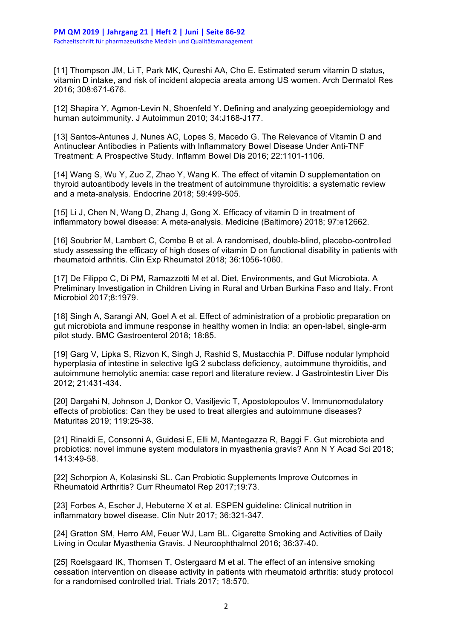[11] Thompson JM, Li T, Park MK, Qureshi AA, Cho E. Estimated serum vitamin D status, vitamin D intake, and risk of incident alopecia areata among US women. Arch Dermatol Res 2016; 308:671-676.

[12] Shapira Y, Agmon-Levin N, Shoenfeld Y. Defining and analyzing geoepidemiology and human autoimmunity. J Autoimmun 2010; 34:J168-J177.

[13] Santos-Antunes J, Nunes AC, Lopes S, Macedo G. The Relevance of Vitamin D and Antinuclear Antibodies in Patients with Inflammatory Bowel Disease Under Anti-TNF Treatment: A Prospective Study. Inflamm Bowel Dis 2016; 22:1101-1106.

[14] Wang S, Wu Y, Zuo Z, Zhao Y, Wang K. The effect of vitamin D supplementation on thyroid autoantibody levels in the treatment of autoimmune thyroiditis: a systematic review and a meta-analysis. Endocrine 2018; 59:499-505.

[15] Li J, Chen N, Wang D, Zhang J, Gong X. Efficacy of vitamin D in treatment of inflammatory bowel disease: A meta-analysis. Medicine (Baltimore) 2018; 97:e12662.

[16] Soubrier M, Lambert C, Combe B et al. A randomised, double-blind, placebo-controlled study assessing the efficacy of high doses of vitamin D on functional disability in patients with rheumatoid arthritis. Clin Exp Rheumatol 2018; 36:1056-1060.

[17] De Filippo C, Di PM, Ramazzotti M et al. Diet, Environments, and Gut Microbiota. A Preliminary Investigation in Children Living in Rural and Urban Burkina Faso and Italy. Front Microbiol 2017;8:1979.

[18] Singh A, Sarangi AN, Goel A et al. Effect of administration of a probiotic preparation on gut microbiota and immune response in healthy women in India: an open-label, single-arm pilot study. BMC Gastroenterol 2018; 18:85.

[19] Garg V, Lipka S, Rizvon K, Singh J, Rashid S, Mustacchia P. Diffuse nodular lymphoid hyperplasia of intestine in selective IgG 2 subclass deficiency, autoimmune thyroiditis, and autoimmune hemolytic anemia: case report and literature review. J Gastrointestin Liver Dis 2012; 21:431-434.

[20] Dargahi N, Johnson J, Donkor O, Vasiljevic T, Apostolopoulos V. Immunomodulatory effects of probiotics: Can they be used to treat allergies and autoimmune diseases? Maturitas 2019; 119:25-38.

[21] Rinaldi E, Consonni A, Guidesi E, Elli M, Mantegazza R, Baggi F. Gut microbiota and probiotics: novel immune system modulators in myasthenia gravis? Ann N Y Acad Sci 2018; 1413:49-58.

[22] Schorpion A, Kolasinski SL. Can Probiotic Supplements Improve Outcomes in Rheumatoid Arthritis? Curr Rheumatol Rep 2017;19:73.

[23] Forbes A, Escher J, Hebuterne X et al. ESPEN guideline: Clinical nutrition in inflammatory bowel disease. Clin Nutr 2017; 36:321-347.

[24] Gratton SM, Herro AM, Feuer WJ, Lam BL. Cigarette Smoking and Activities of Daily Living in Ocular Myasthenia Gravis. J Neuroophthalmol 2016; 36:37-40.

[25] Roelsgaard IK, Thomsen T, Ostergaard M et al. The effect of an intensive smoking cessation intervention on disease activity in patients with rheumatoid arthritis: study protocol for a randomised controlled trial. Trials 2017; 18:570.